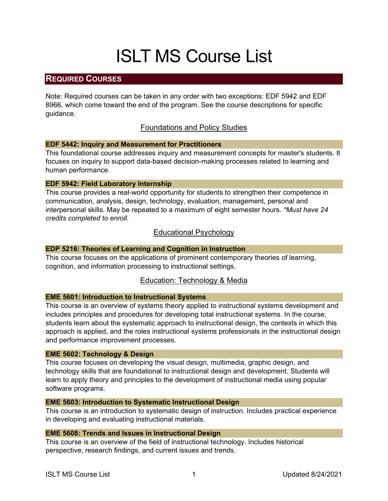# ISLT MS Course List

# **REQUIRED COURSES**

Note: Required courses can be taken in any order with two exceptions: EDF 5942 and EDF 8966, which come toward the end of the program. See the course descriptions for specific guidance.

# Foundations and Policy Studies

# **EDF 5442: Inquiry and Measurement for Practitioners**

This foundational course addresses inquiry and measurement concepts for master's students. It focuses on inquiry to support data-based decision-making processes related to learning and human performance.

## **EDF 5942: Field Laboratory Internship**

This course provides a real-world opportunity for students to strengthen their competence in communication, analysis, design, technology, evaluation, management, personal and interpersonal skills. May be repeated to a maximum of eight semester hours*. \*Must have 24 credits completed to enroll.*

# Educational Psychology

# **EDP 5216: Theories of Learning and Cognition in Instruction**

This course focuses on the applications of prominent contemporary theories of learning, cognition, and information processing to instructional settings.

# Education: Technology & Media

## **EME 5601: Introduction to Instructional Systems**

This course is an overview of systems theory applied to instructional systems development and includes principles and procedures for developing total instructional systems. In the course, students learn about the systematic approach to instructional design, the contexts in which this approach is applied, and the roles instructional systems professionals in the instructional design and performance improvement processes.

## **EME 5602: Technology & Design**

This course focuses on developing the visual design, multimedia, graphic design, and technology skills that are foundational to instructional design and development. Students will learn to apply theory and principles to the development of instructional media using popular software programs.

## **EME 5603: Introduction to Systematic Instructional Design**

This course is an introduction to systematic design of instruction. Includes practical experience in developing and evaluating instructional materials.

## **EME 5608: Trends and Issues in Instructional Design**

This course is an overview of the field of instructional technology. Includes historical perspective, research findings, and current issues and trends.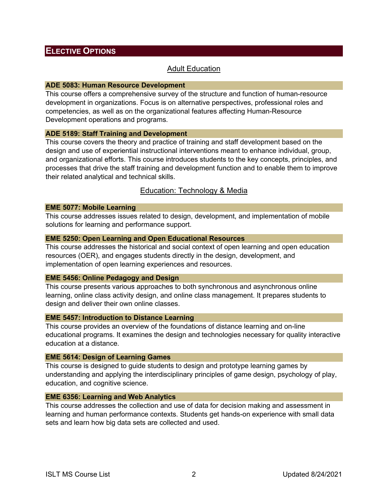# **ELECTIVE OPTIONS**

# Adult Education

#### **ADE 5083: Human Resource Development**

This course offers a comprehensive survey of the structure and function of human-resource development in organizations. Focus is on alternative perspectives, professional roles and competencies, as well as on the organizational features affecting Human-Resource Development operations and programs.

#### **ADE 5189: Staff Training and Development**

This course covers the theory and practice of training and staff development based on the design and use of experiential instructional interventions meant to enhance individual, group, and organizational efforts. This course introduces students to the key concepts, principles, and processes that drive the staff training and development function and to enable them to improve their related analytical and technical skills.

# Education: Technology & Media

#### **EME 5077: Mobile Learning**

This course addresses issues related to design, development, and implementation of mobile solutions for learning and performance support.

#### **EME 5250: Open Learning and Open Educational Resources**

This course addresses the historical and social context of open learning and open education resources (OER), and engages students directly in the design, development, and implementation of open learning experiences and resources.

#### **EME 5456: Online Pedagogy and Design**

This course presents various approaches to both synchronous and asynchronous online learning, online class activity design, and online class management. It prepares students to design and deliver their own online classes.

#### **EME 5457: Introduction to Distance Learning**

This course provides an overview of the foundations of distance learning and on-line educational programs. It examines the design and technologies necessary for quality interactive education at a distance.

#### **EME 5614: Design of Learning Games**

This course is designed to guide students to design and prototype learning games by understanding and applying the interdisciplinary principles of game design, psychology of play, education, and cognitive science.

#### **EME 6356: Learning and Web Analytics**

This course addresses the collection and use of data for decision making and assessment in learning and human performance contexts. Students get hands-on experience with small data sets and learn how big data sets are collected and used.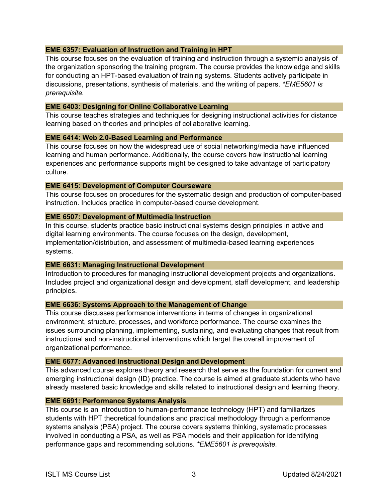# **EME 6357: Evaluation of Instruction and Training in HPT**

This course focuses on the evaluation of training and instruction through a systemic analysis of the organization sponsoring the training program. The course provides the knowledge and skills for conducting an HPT-based evaluation of training systems. Students actively participate in discussions, presentations, synthesis of materials, and the writing of papers. *\*EME5601 is prerequisite.*

## **EME 6403: Designing for Online Collaborative Learning**

This course teaches strategies and techniques for designing instructional activities for distance learning based on theories and principles of collaborative learning.

## **EME 6414: Web 2.0-Based Learning and Performance**

This course focuses on how the widespread use of social networking/media have influenced learning and human performance. Additionally, the course covers how instructional learning experiences and performance supports might be designed to take advantage of participatory culture.

## **EME 6415: Development of Computer Courseware**

This course focuses on procedures for the systematic design and production of computer-based instruction. Includes practice in computer-based course development.

## **EME 6507: Development of Multimedia Instruction**

In this course, students practice basic instructional systems design principles in active and digital learning environments. The course focuses on the design, development, implementation/distribution, and assessment of multimedia-based learning experiences systems.

## **EME 6631: Managing Instructional Development**

Introduction to procedures for managing instructional development projects and organizations. Includes project and organizational design and development, staff development, and leadership principles.

# **EME 6636: Systems Approach to the Management of Change**

This course discusses performance interventions in terms of changes in organizational environment, structure, processes, and workforce performance. The course examines the issues surrounding planning, implementing, sustaining, and evaluating changes that result from instructional and non-instructional interventions which target the overall improvement of organizational performance.

#### **EME 6677: Advanced Instructional Design and Development**

This advanced course explores theory and research that serve as the foundation for current and emerging instructional design (ID) practice. The course is aimed at graduate students who have already mastered basic knowledge and skills related to instructional design and learning theory.

## **EME 6691: Performance Systems Analysis**

This course is an introduction to human-performance technology (HPT) and familiarizes students with HPT theoretical foundations and practical methodology through a performance systems analysis (PSA) project. The course covers systems thinking, systematic processes involved in conducting a PSA, as well as PSA models and their application for identifying performance gaps and recommending solutions. *\*EME5601 is prerequisite.*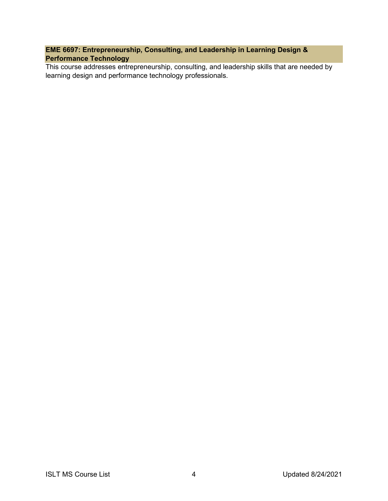# **EME 6697: Entrepreneurship, Consulting, and Leadership in Learning Design & Performance Technology**

This course addresses entrepreneurship, consulting, and leadership skills that are needed by learning design and performance technology professionals.